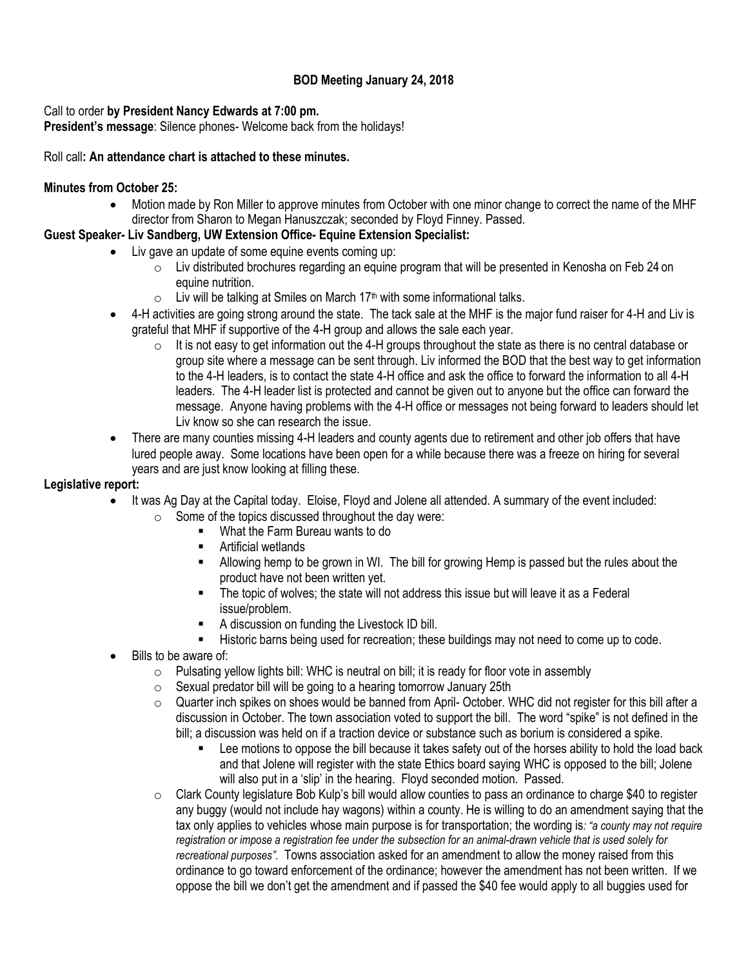## **BOD Meeting January 24, 2018**

### Call to order **by President Nancy Edwards at 7:00 pm.**

**President's message**: Silence phones- Welcome back from the holidays!

### Roll call**: An attendance chart is attached to these minutes.**

### **Minutes from October 25:**

 Motion made by Ron Miller to approve minutes from October with one minor change to correct the name of the MHF director from Sharon to Megan Hanuszczak; seconded by Floyd Finney. Passed.

## **Guest Speaker- Liv Sandberg, UW Extension Office- Equine Extension Specialist:**

- Liv gave an update of some equine events coming up:
	- $\circ$  Liv distributed brochures regarding an equine program that will be presented in Kenosha on Feb 24 on equine nutrition.
	- $\circ$  Liv will be talking at Smiles on March 17<sup>th</sup> with some informational talks.
	- 4-H activities are going strong around the state. The tack sale at the MHF is the major fund raiser for 4-H and Liv is grateful that MHF if supportive of the 4-H group and allows the sale each year.
		- $\circ$  It is not easy to get information out the 4-H groups throughout the state as there is no central database or group site where a message can be sent through. Liv informed the BOD that the best way to get information to the 4-H leaders, is to contact the state 4-H office and ask the office to forward the information to all 4-H leaders. The 4-H leader list is protected and cannot be given out to anyone but the office can forward the message. Anyone having problems with the 4-H office or messages not being forward to leaders should let Liv know so she can research the issue.
	- There are many counties missing 4-H leaders and county agents due to retirement and other job offers that have lured people away. Some locations have been open for a while because there was a freeze on hiring for several years and are just know looking at filling these.

### **Legislative report:**

- It was Ag Day at the Capital today. Eloise, Floyd and Jolene all attended. A summary of the event included:
	- $\circ$  Some of the topics discussed throughout the day were:
		- What the Farm Bureau wants to do
		- **E** Artificial wetlands
		- Allowing hemp to be grown in WI. The bill for growing Hemp is passed but the rules about the product have not been written yet.
		- The topic of wolves; the state will not address this issue but will leave it as a Federal issue/problem.
		- A discussion on funding the Livestock ID bill.
		- Historic barns being used for recreation; these buildings may not need to come up to code.
- Bills to be aware of:
	- $\circ$  Pulsating yellow lights bill: WHC is neutral on bill; it is ready for floor vote in assembly
	- $\circ$  Sexual predator bill will be going to a hearing tomorrow January 25th
	- $\circ$  Quarter inch spikes on shoes would be banned from April-October. WHC did not register for this bill after a discussion in October. The town association voted to support the bill. The word "spike" is not defined in the bill; a discussion was held on if a traction device or substance such as borium is considered a spike.
		- Lee motions to oppose the bill because it takes safety out of the horses ability to hold the load back and that Jolene will register with the state Ethics board saying WHC is opposed to the bill; Jolene will also put in a 'slip' in the hearing. Floyd seconded motion. Passed.
	- $\circ$  Clark County legislature Bob Kulp's bill would allow counties to pass an ordinance to charge \$40 to register any buggy (would not include hay wagons) within a county. He is willing to do an amendment saying that the tax only applies to vehicles whose main purpose is for transportation; the wording is*: "a county may not require registration or impose a registration fee under the subsection for an animal-drawn vehicle that is used solely for recreational purposes".* Towns association asked for an amendment to allow the money raised from this ordinance to go toward enforcement of the ordinance; however the amendment has not been written. If we oppose the bill we don't get the amendment and if passed the \$40 fee would apply to all buggies used for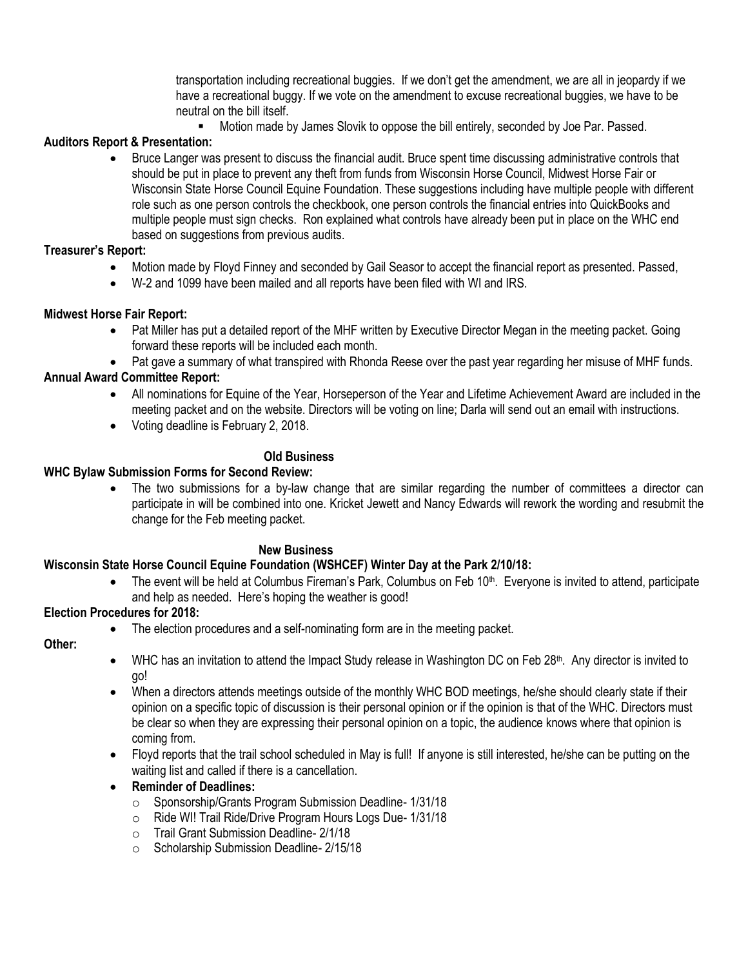transportation including recreational buggies. If we don't get the amendment, we are all in jeopardy if we have a recreational buggy. If we vote on the amendment to excuse recreational buggies, we have to be neutral on the bill itself.

Motion made by James Slovik to oppose the bill entirely, seconded by Joe Par. Passed.

## **Auditors Report & Presentation:**

 Bruce Langer was present to discuss the financial audit. Bruce spent time discussing administrative controls that should be put in place to prevent any theft from funds from Wisconsin Horse Council, Midwest Horse Fair or Wisconsin State Horse Council Equine Foundation. These suggestions including have multiple people with different role such as one person controls the checkbook, one person controls the financial entries into QuickBooks and multiple people must sign checks. Ron explained what controls have already been put in place on the WHC end based on suggestions from previous audits.

# **Treasurer's Report:**

- Motion made by Floyd Finney and seconded by Gail Seasor to accept the financial report as presented. Passed,
- W-2 and 1099 have been mailed and all reports have been filed with WI and IRS.

## **Midwest Horse Fair Report:**

- Pat Miller has put a detailed report of the MHF written by Executive Director Megan in the meeting packet. Going forward these reports will be included each month.
- Pat gave a summary of what transpired with Rhonda Reese over the past year regarding her misuse of MHF funds.

# **Annual Award Committee Report:**

- All nominations for Equine of the Year, Horseperson of the Year and Lifetime Achievement Award are included in the meeting packet and on the website. Directors will be voting on line; Darla will send out an email with instructions.
- Voting deadline is February 2, 2018.

## **Old Business**

## **WHC Bylaw Submission Forms for Second Review:**

 The two submissions for a by-law change that are similar regarding the number of committees a director can participate in will be combined into one. Kricket Jewett and Nancy Edwards will rework the wording and resubmit the change for the Feb meeting packet.

## **New Business**

# **Wisconsin State Horse Council Equine Foundation (WSHCEF) Winter Day at the Park 2/10/18:**

The event will be held at Columbus Fireman's Park, Columbus on Feb 10<sup>th</sup>. Everyone is invited to attend, participate and help as needed. Here's hoping the weather is good!

## **Election Procedures for 2018:**

The election procedures and a self-nominating form are in the meeting packet.

## **Other:**

- WHC has an invitation to attend the Impact Study release in Washington DC on Feb 28<sup>th</sup>. Any director is invited to go!
- When a directors attends meetings outside of the monthly WHC BOD meetings, he/she should clearly state if their opinion on a specific topic of discussion is their personal opinion or if the opinion is that of the WHC. Directors must be clear so when they are expressing their personal opinion on a topic, the audience knows where that opinion is coming from.
- Floyd reports that the trail school scheduled in May is full! If anyone is still interested, he/she can be putting on the waiting list and called if there is a cancellation.

## **Reminder of Deadlines:**

- o Sponsorship/Grants Program Submission Deadline- 1/31/18
- o Ride WI! Trail Ride/Drive Program Hours Logs Due- 1/31/18
- o Trail Grant Submission Deadline- 2/1/18
- o Scholarship Submission Deadline- 2/15/18